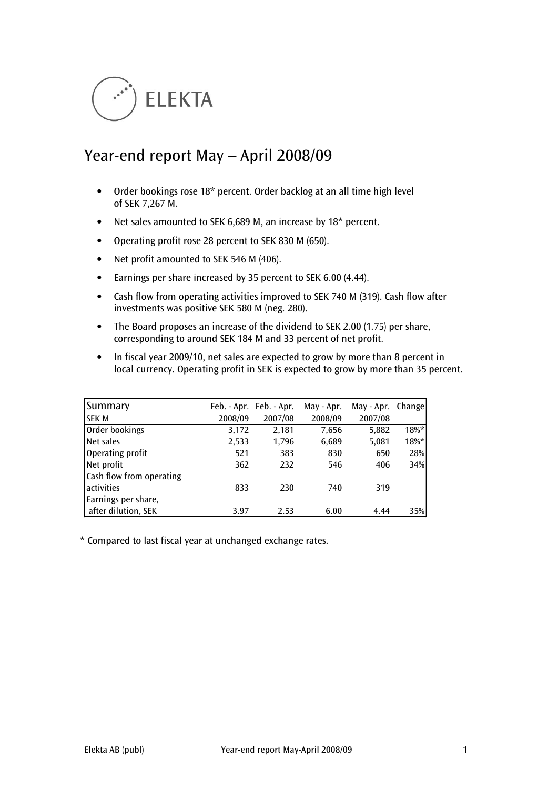

# Year-end report May – April 2008/09

- Order bookings rose 18\* percent. Order backlog at an all time high level of SEK 7,267 M.
- Net sales amounted to SEK 6,689 M, an increase by 18\* percent.
- Operating profit rose 28 percent to SEK 830 M (650).
- Net profit amounted to SEK 546 M (406).
- Earnings per share increased by 35 percent to SEK 6.00 (4.44).
- Cash flow from operating activities improved to SEK 740 M (319). Cash flow after investments was positive SEK 580 M (neg. 280).
- The Board proposes an increase of the dividend to SEK 2.00 (1.75) per share, corresponding to around SEK 184 M and 33 percent of net profit.
- In fiscal year 2009/10, net sales are expected to grow by more than 8 percent in local currency. Operating profit in SEK is expected to grow by more than 35 percent.

| Summary                  |         | Feb. - Apr. Feb. - Apr. | May - Apr. | May - Apr. Change |         |
|--------------------------|---------|-------------------------|------------|-------------------|---------|
| <b>SEK M</b>             | 2008/09 | 2007/08                 | 2008/09    | 2007/08           |         |
| Order bookings           | 3,172   | 2,181                   | 7,656      | 5,882             | 18%*    |
| Net sales                | 2,533   | 1,796                   | 6,689      | 5,081             | $18\%*$ |
| Operating profit         | 521     | 383                     | 830        | 650               | 28%     |
| Net profit               | 362     | 232                     | 546        | 406               | 34%     |
| Cash flow from operating |         |                         |            |                   |         |
| activities               | 833     | 230                     | 740        | 319               |         |
| Earnings per share,      |         |                         |            |                   |         |
| after dilution, SEK      | 3.97    | 2.53                    | 6.00       | 4.44              | 35%     |

\* Compared to last fiscal year at unchanged exchange rates.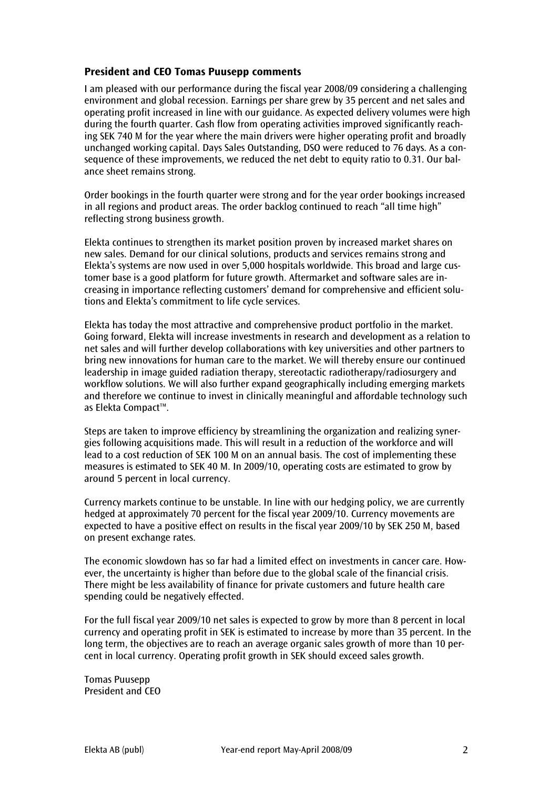# President and CEO Tomas Puusepp comments

I am pleased with our performance during the fiscal year 2008/09 considering a challenging environment and global recession. Earnings per share grew by 35 percent and net sales and operating profit increased in line with our guidance. As expected delivery volumes were high during the fourth quarter. Cash flow from operating activities improved significantly reaching SEK 740 M for the year where the main drivers were higher operating profit and broadly unchanged working capital. Days Sales Outstanding, DSO were reduced to 76 days. As a consequence of these improvements, we reduced the net debt to equity ratio to 0.31. Our balance sheet remains strong.

Order bookings in the fourth quarter were strong and for the year order bookings increased in all regions and product areas. The order backlog continued to reach "all time high" reflecting strong business growth.

Elekta continues to strengthen its market position proven by increased market shares on new sales. Demand for our clinical solutions, products and services remains strong and Elekta's systems are now used in over 5,000 hospitals worldwide. This broad and large customer base is a good platform for future growth. Aftermarket and software sales are increasing in importance reflecting customers' demand for comprehensive and efficient solutions and Elekta's commitment to life cycle services.

Elekta has today the most attractive and comprehensive product portfolio in the market. Going forward, Elekta will increase investments in research and development as a relation to net sales and will further develop collaborations with key universities and other partners to bring new innovations for human care to the market. We will thereby ensure our continued leadership in image guided radiation therapy, stereotactic radiotherapy/radiosurgery and workflow solutions. We will also further expand geographically including emerging markets and therefore we continue to invest in clinically meaningful and affordable technology such as Elekta Compact™.

Steps are taken to improve efficiency by streamlining the organization and realizing synergies following acquisitions made. This will result in a reduction of the workforce and will lead to a cost reduction of SEK 100 M on an annual basis. The cost of implementing these measures is estimated to SEK 40 M. In 2009/10, operating costs are estimated to grow by around 5 percent in local currency.

Currency markets continue to be unstable. In line with our hedging policy, we are currently hedged at approximately 70 percent for the fiscal year 2009/10. Currency movements are expected to have a positive effect on results in the fiscal year 2009/10 by SEK 250 M, based on present exchange rates.

The economic slowdown has so far had a limited effect on investments in cancer care. However, the uncertainty is higher than before due to the global scale of the financial crisis. There might be less availability of finance for private customers and future health care spending could be negatively effected.

For the full fiscal year 2009/10 net sales is expected to grow by more than 8 percent in local currency and operating profit in SEK is estimated to increase by more than 35 percent. In the long term, the objectives are to reach an average organic sales growth of more than 10 percent in local currency. Operating profit growth in SEK should exceed sales growth.

Tomas Puusepp President and CEO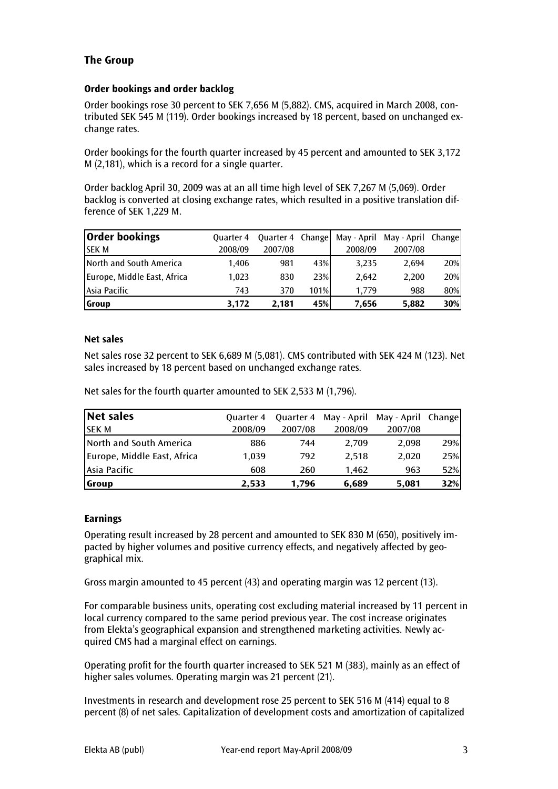# The Group

## Order bookings and order backlog

Order bookings rose 30 percent to SEK 7,656 M (5,882). CMS, acquired in March 2008, contributed SEK 545 M (119). Order bookings increased by 18 percent, based on unchanged exchange rates.

Order bookings for the fourth quarter increased by 45 percent and amounted to SEK 3,172 M (2,181), which is a record for a single quarter.

Order backlog April 30, 2009 was at an all time high level of SEK 7,267 M (5,069). Order backlog is converted at closing exchange rates, which resulted in a positive translation difference of SEK 1,229 M.

| <b>Order bookings</b>       | <b>Ouarter 4</b> | Quarter 4 Change |      |         | May - April May - April Change |     |
|-----------------------------|------------------|------------------|------|---------|--------------------------------|-----|
| <b>SEKM</b>                 | 2008/09          | 2007/08          |      | 2008/09 | 2007/08                        |     |
| North and South America     | 1.406            | 981              | 43%  | 3,235   | 2.694                          | 20% |
| Europe, Middle East, Africa | 1.023            | 830              | 23%  | 2.642   | 2.200                          | 20% |
| Asia Pacific                | 743              | 370              | 101% | 1.779   | 988                            | 80% |
| Group                       | 3.172            | 2.181            | 45%  | 7,656   | 5,882                          | 30% |

## Net sales

Net sales rose 32 percent to SEK 6,689 M (5,081). CMS contributed with SEK 424 M (123). Net sales increased by 18 percent based on unchanged exchange rates.

Net sales for the fourth quarter amounted to SEK 2,533 M (1,796).

| Net sales                   | <b>Ouarter 4</b> |         |         | Quarter 4 May - April May - April Change |     |
|-----------------------------|------------------|---------|---------|------------------------------------------|-----|
| <b>ISEK M</b>               | 2008/09          | 2007/08 | 2008/09 | 2007/08                                  |     |
| North and South America     | 886              | 744     | 2.709   | 2.098                                    | 29% |
| Europe, Middle East, Africa | 1.039            | 792     | 2.518   | 2.020                                    | 25% |
| Asia Pacific                | 608              | 260     | 1.462   | 963                                      | 52% |
| <b>S</b> roup               | 2.533            | 1.796   | 6,689   | 5,081                                    | 32% |

#### **Earnings**

Operating result increased by 28 percent and amounted to SEK 830 M (650), positively impacted by higher volumes and positive currency effects, and negatively affected by geographical mix.

Gross margin amounted to 45 percent (43) and operating margin was 12 percent (13).

For comparable business units, operating cost excluding material increased by 11 percent in local currency compared to the same period previous year. The cost increase originates from Elekta's geographical expansion and strengthened marketing activities. Newly acquired CMS had a marginal effect on earnings.

Operating profit for the fourth quarter increased to SEK 521 M (383), mainly as an effect of higher sales volumes. Operating margin was 21 percent (21).

Investments in research and development rose 25 percent to SEK 516 M (414) equal to 8 percent (8) of net sales. Capitalization of development costs and amortization of capitalized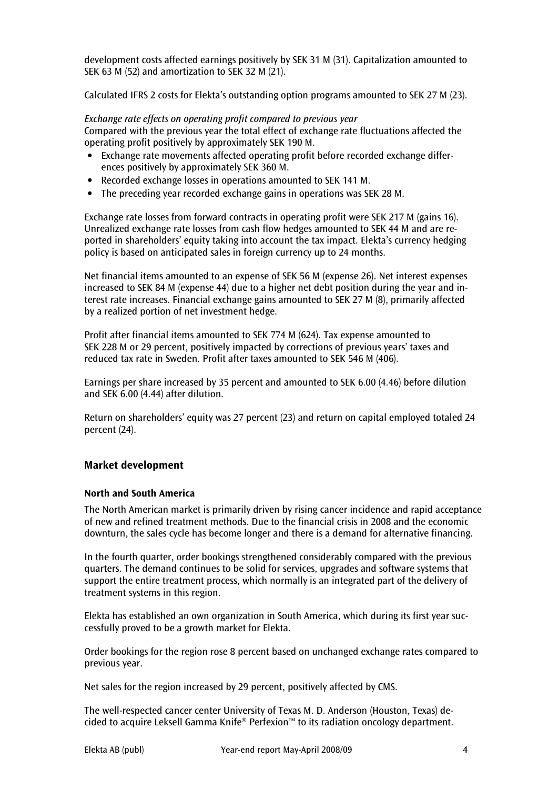development costs affected earnings positively by SEK 31 M (31). Capitalization amounted to SEK 63 M (52) and amortization to SEK 32 M (21).

Calculated IFRS 2 costs for Elekta's outstanding option programs amounted to SEK 27 M (23).

Exchange rate effects on operating profit compared to previous year Compared with the previous year the total effect of exchange rate fluctuations affected the operating profit positively by approximately SEK 190 M.

- Exchange rate movements affected operating profit before recorded exchange differences positively by approximately SEK 360 M.
- Recorded exchange losses in operations amounted to SEK 141 M.
- The preceding year recorded exchange gains in operations was SEK 28 M.

Exchange rate losses from forward contracts in operating profit were SEK 217 M (gains 16). Unrealized exchange rate losses from cash flow hedges amounted to SEK 44 M and are reported in shareholders' equity taking into account the tax impact. Elekta's currency hedging policy is based on anticipated sales in foreign currency up to 24 months.

Net financial items amounted to an expense of SEK 56 M (expense 26). Net interest expenses increased to SEK 84 M (expense 44) due to a higher net debt position during the year and interest rate increases. Financial exchange gains amounted to SEK 27 M (8), primarily affected by a realized portion of net investment hedge.

Profit after financial items amounted to SEK 774 M (624). Tax expense amounted to SEK 228 M or 29 percent, positively impacted by corrections of previous years' taxes and reduced tax rate in Sweden. Profit after taxes amounted to SEK 546 M (406).

Earnings per share increased by 35 percent and amounted to SEK 6.00 (4.46) before dilution and SEK 6.00 (4.44) after dilution.

Return on shareholders' equity was 27 percent (23) and return on capital employed totaled 24 percent (24).

#### Market development

#### North and South America

The North American market is primarily driven by rising cancer incidence and rapid acceptance of new and refined treatment methods. Due to the financial crisis in 2008 and the economic downturn, the sales cycle has become longer and there is a demand for alternative financing.

In the fourth quarter, order bookings strengthened considerably compared with the previous quarters. The demand continues to be solid for services, upgrades and software systems that support the entire treatment process, which normally is an integrated part of the delivery of treatment systems in this region.

Elekta has established an own organization in South America, which during its first year successfully proved to be a growth market for Elekta.

Order bookings for the region rose 8 percent based on unchanged exchange rates compared to previous year.

Net sales for the region increased by 29 percent, positively affected by CMS.

The well-respected cancer center University of Texas M. D. Anderson (Houston, Texas) decided to acquire Leksell Gamma Knife® Perfexion™ to its radiation oncology department.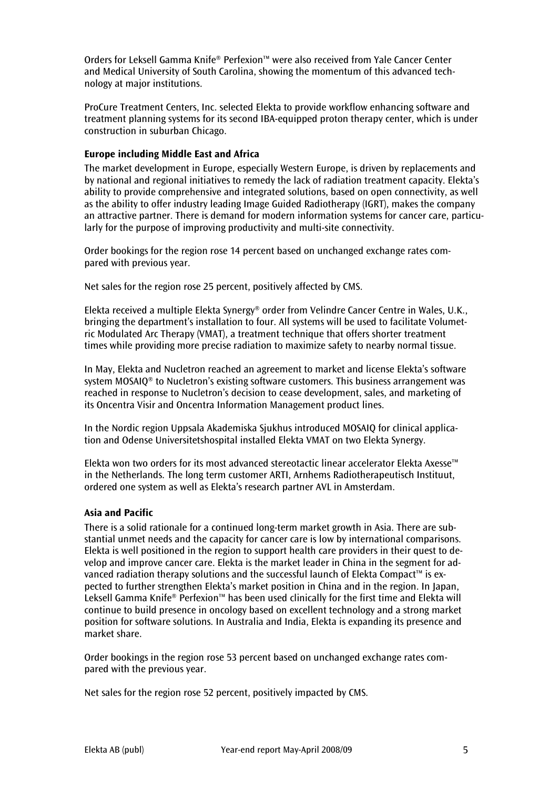Orders for Leksell Gamma Knife® Perfexion™ were also received from Yale Cancer Center and Medical University of South Carolina, showing the momentum of this advanced technology at major institutions.

ProCure Treatment Centers, Inc. selected Elekta to provide workflow enhancing software and treatment planning systems for its second IBA-equipped proton therapy center, which is under construction in suburban Chicago.

## Europe including Middle East and Africa

The market development in Europe, especially Western Europe, is driven by replacements and by national and regional initiatives to remedy the lack of radiation treatment capacity. Elekta's ability to provide comprehensive and integrated solutions, based on open connectivity, as well as the ability to offer industry leading Image Guided Radiotherapy (IGRT), makes the company an attractive partner. There is demand for modern information systems for cancer care, particularly for the purpose of improving productivity and multi-site connectivity.

Order bookings for the region rose 14 percent based on unchanged exchange rates compared with previous year.

Net sales for the region rose 25 percent, positively affected by CMS.

Elekta received a multiple Elekta Synergy® order from Velindre Cancer Centre in Wales, U.K., bringing the department's installation to four. All systems will be used to facilitate Volumetric Modulated Arc Therapy (VMAT), a treatment technique that offers shorter treatment times while providing more precise radiation to maximize safety to nearby normal tissue.

In May, Elekta and Nucletron reached an agreement to market and license Elekta's software system MOSAIQ® to Nucletron's existing software customers. This business arrangement was reached in response to Nucletron's decision to cease development, sales, and marketing of its Oncentra Visir and Oncentra Information Management product lines.

In the Nordic region Uppsala Akademiska Sjukhus introduced MOSAIQ for clinical application and Odense Universitetshospital installed Elekta VMAT on two Elekta Synergy.

Elekta won two orders for its most advanced stereotactic linear accelerator Elekta Axesse™ in the Netherlands. The long term customer ARTI, Arnhems Radiotherapeutisch Instituut, ordered one system as well as Elekta's research partner AVL in Amsterdam.

#### Asia and Pacific

There is a solid rationale for a continued long-term market growth in Asia. There are substantial unmet needs and the capacity for cancer care is low by international comparisons. Elekta is well positioned in the region to support health care providers in their quest to develop and improve cancer care. Elekta is the market leader in China in the segment for advanced radiation therapy solutions and the successful launch of Elekta Compact™ is expected to further strengthen Elekta's market position in China and in the region. In Japan, Leksell Gamma Knife® Perfexion™ has been used clinically for the first time and Elekta will continue to build presence in oncology based on excellent technology and a strong market position for software solutions. In Australia and India, Elekta is expanding its presence and market share.

Order bookings in the region rose 53 percent based on unchanged exchange rates compared with the previous year.

Net sales for the region rose 52 percent, positively impacted by CMS.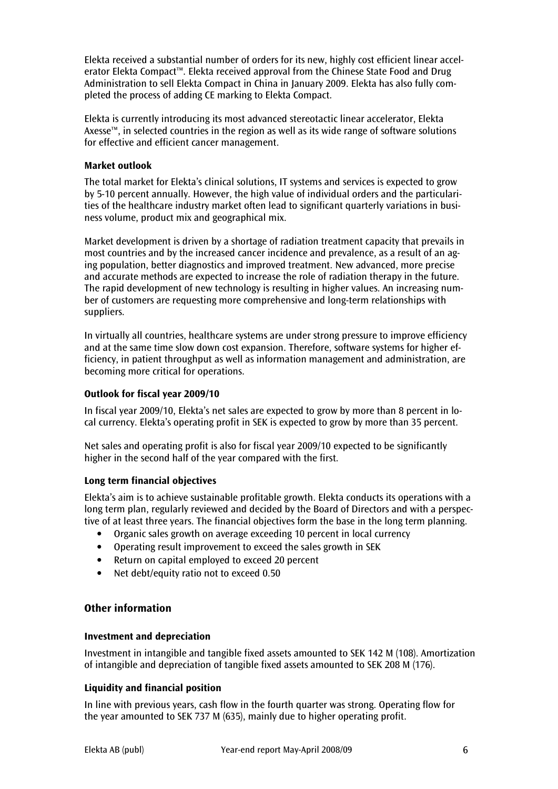Elekta received a substantial number of orders for its new, highly cost efficient linear accelerator Elekta Compact™. Elekta received approval from the Chinese State Food and Drug Administration to sell Elekta Compact in China in January 2009. Elekta has also fully completed the process of adding CE marking to Elekta Compact.

Elekta is currently introducing its most advanced stereotactic linear accelerator, Elekta Axesse™, in selected countries in the region as well as its wide range of software solutions for effective and efficient cancer management.

## Market outlook

The total market for Elekta's clinical solutions, IT systems and services is expected to grow by 5-10 percent annually. However, the high value of individual orders and the particularities of the healthcare industry market often lead to significant quarterly variations in business volume, product mix and geographical mix.

Market development is driven by a shortage of radiation treatment capacity that prevails in most countries and by the increased cancer incidence and prevalence, as a result of an aging population, better diagnostics and improved treatment. New advanced, more precise and accurate methods are expected to increase the role of radiation therapy in the future. The rapid development of new technology is resulting in higher values. An increasing number of customers are requesting more comprehensive and long-term relationships with suppliers.

In virtually all countries, healthcare systems are under strong pressure to improve efficiency and at the same time slow down cost expansion. Therefore, software systems for higher efficiency, in patient throughput as well as information management and administration, are becoming more critical for operations.

# Outlook for fiscal year 2009/10

In fiscal year 2009/10, Elekta's net sales are expected to grow by more than 8 percent in local currency. Elekta's operating profit in SEK is expected to grow by more than 35 percent.

Net sales and operating profit is also for fiscal year 2009/10 expected to be significantly higher in the second half of the year compared with the first.

#### Long term financial objectives

Elekta's aim is to achieve sustainable profitable growth. Elekta conducts its operations with a long term plan, regularly reviewed and decided by the Board of Directors and with a perspective of at least three years. The financial objectives form the base in the long term planning.

- Organic sales growth on average exceeding 10 percent in local currency
- Operating result improvement to exceed the sales growth in SEK
- Return on capital employed to exceed 20 percent
- Net debt/equity ratio not to exceed 0.50

# Other information

#### Investment and depreciation

Investment in intangible and tangible fixed assets amounted to SEK 142 M (108). Amortization of intangible and depreciation of tangible fixed assets amounted to SEK 208 M (176).

# Liquidity and financial position

In line with previous years, cash flow in the fourth quarter was strong. Operating flow for the year amounted to SEK 737 M (635), mainly due to higher operating profit.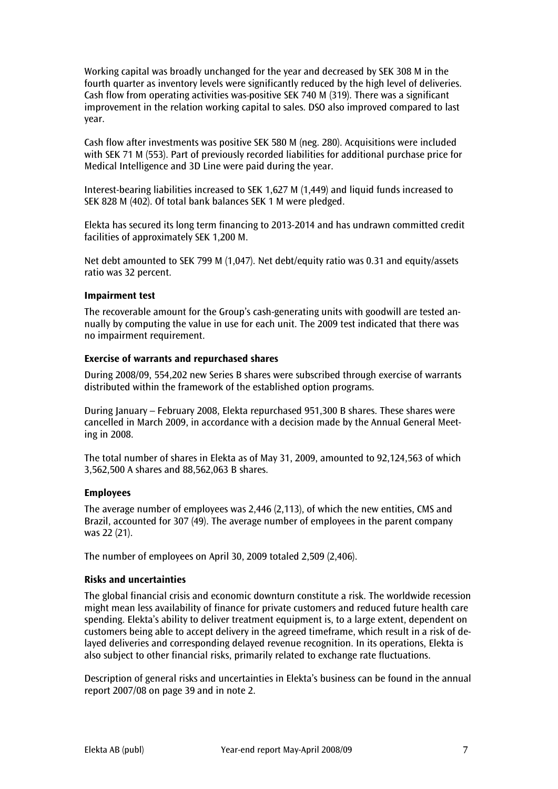Working capital was broadly unchanged for the year and decreased by SEK 308 M in the fourth quarter as inventory levels were significantly reduced by the high level of deliveries. Cash flow from operating activities was-positive SEK 740 M (319). There was a significant improvement in the relation working capital to sales. DSO also improved compared to last year.

Cash flow after investments was positive SEK 580 M (neg. 280). Acquisitions were included with SEK 71 M (553). Part of previously recorded liabilities for additional purchase price for Medical Intelligence and 3D Line were paid during the year.

Interest-bearing liabilities increased to SEK 1,627 M (1,449) and liquid funds increased to SEK 828 M (402). Of total bank balances SEK 1 M were pledged.

Elekta has secured its long term financing to 2013-2014 and has undrawn committed credit facilities of approximately SEK 1,200 M.

Net debt amounted to SEK 799 M (1,047). Net debt/equity ratio was 0.31 and equity/assets ratio was 32 percent.

#### Impairment test

The recoverable amount for the Group's cash-generating units with goodwill are tested annually by computing the value in use for each unit. The 2009 test indicated that there was no impairment requirement.

#### Exercise of warrants and repurchased shares

During 2008/09, 554,202 new Series B shares were subscribed through exercise of warrants distributed within the framework of the established option programs.

During January – February 2008, Elekta repurchased 951,300 B shares. These shares were cancelled in March 2009, in accordance with a decision made by the Annual General Meeting in 2008.

The total number of shares in Elekta as of May 31, 2009, amounted to 92,124,563 of which 3,562,500 A shares and 88,562,063 B shares.

#### Employees

The average number of employees was 2,446 (2,113), of which the new entities, CMS and Brazil, accounted for 307 (49). The average number of employees in the parent company was 22 (21).

The number of employees on April 30, 2009 totaled 2,509 (2,406).

#### Risks and uncertainties

The global financial crisis and economic downturn constitute a risk. The worldwide recession might mean less availability of finance for private customers and reduced future health care spending. Elekta's ability to deliver treatment equipment is, to a large extent, dependent on customers being able to accept delivery in the agreed timeframe, which result in a risk of delayed deliveries and corresponding delayed revenue recognition. In its operations, Elekta is also subject to other financial risks, primarily related to exchange rate fluctuations.

Description of general risks and uncertainties in Elekta's business can be found in the annual report 2007/08 on page 39 and in note 2.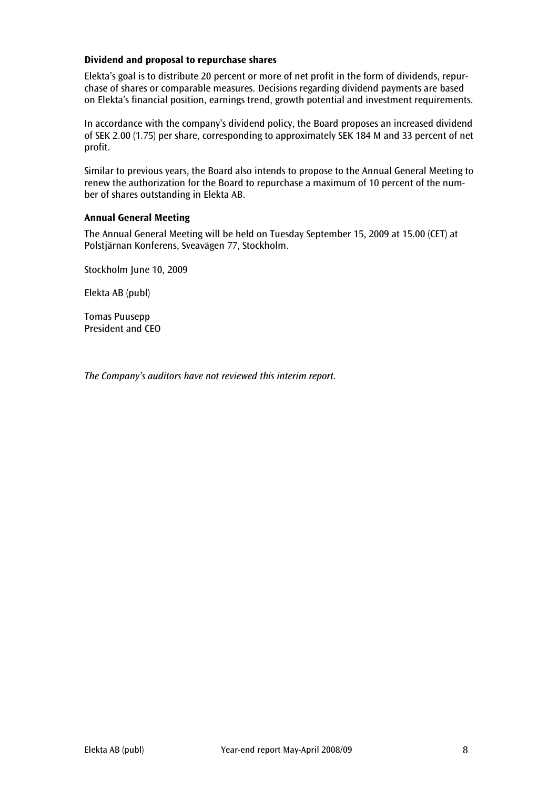# Dividend and proposal to repurchase shares

Elekta's goal is to distribute 20 percent or more of net profit in the form of dividends, repurchase of shares or comparable measures. Decisions regarding dividend payments are based on Elekta's financial position, earnings trend, growth potential and investment requirements.

In accordance with the company's dividend policy, the Board proposes an increased dividend of SEK 2.00 (1.75) per share, corresponding to approximately SEK 184 M and 33 percent of net profit.

Similar to previous years, the Board also intends to propose to the Annual General Meeting to renew the authorization for the Board to repurchase a maximum of 10 percent of the number of shares outstanding in Elekta AB.

#### Annual General Meeting

The Annual General Meeting will be held on Tuesday September 15, 2009 at 15.00 (CET) at Polstjärnan Konferens, Sveavägen 77, Stockholm.

Stockholm June 10, 2009

Elekta AB (publ)

Tomas Puusepp President and CEO

The Company's auditors have not reviewed this interim report.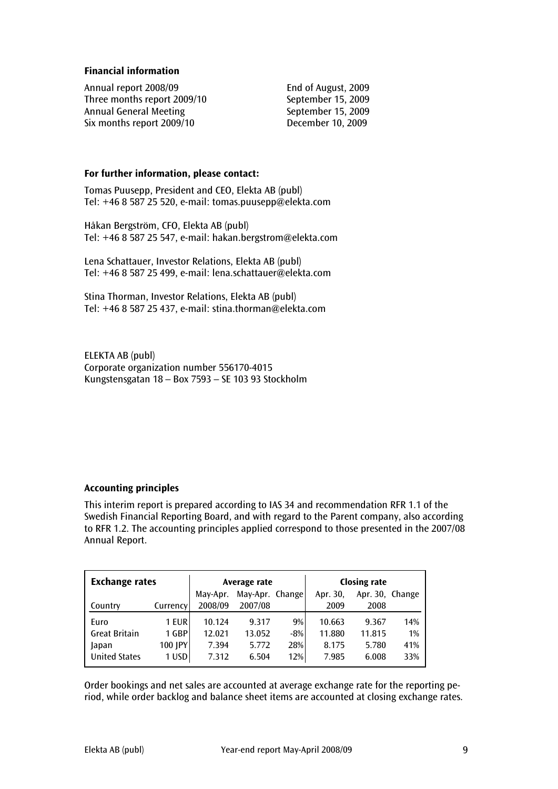## Financial information

Annual report 2008/09 End of August, 2009 Three months report 2009/10 September 15, 2009 Annual General Meeting September 15, 2009 Six months report 2009/10 December 10, 2009

## For further information, please contact:

Tomas Puusepp, President and CEO, Elekta AB (publ) Tel: +46 8 587 25 520, e-mail: tomas.puusepp@elekta.com

Håkan Bergström, CFO, Elekta AB (publ) Tel: +46 8 587 25 547, e-mail: hakan.bergstrom@elekta.com

Lena Schattauer, Investor Relations, Elekta AB (publ) Tel: +46 8 587 25 499, e-mail: lena.schattauer@elekta.com

Stina Thorman, Investor Relations, Elekta AB (publ) Tel: +46 8 587 25 437, e-mail: stina.thorman@elekta.com

ELEKTA AB (publ) Corporate organization number 556170-4015 Kungstensgatan 18 – Box 7593 – SE 103 93 Stockholm

# Accounting principles

This interim report is prepared according to IAS 34 and recommendation RFR 1.1 of the Swedish Financial Reporting Board, and with regard to the Parent company, also according to RFR 1.2. The accounting principles applied correspond to those presented in the 2007/08 Annual Report.

| <b>Exchange rates</b> |           | Average rate |                 |       | <b>Closing rate</b> |                 |     |
|-----------------------|-----------|--------------|-----------------|-------|---------------------|-----------------|-----|
|                       |           | May-Apr.     | May-Apr. Change |       | Apr. 30,            | Apr. 30, Change |     |
| Country               | Currencyl | 2008/09      | 2007/08         |       | 2009                | 2008            |     |
| Euro                  | 1 EUR     | 10.124       | 9.317           | 9%    | 10.663              | 9.367           | 14% |
| <b>Great Britain</b>  | 1 GBP     | 12.021       | 13.052          | $-8%$ | 11.880              | 11.815          | 1%  |
| Japan                 | 100 JPY   | 7.394        | 5.772           | 28%   | 8.175               | 5.780           | 41% |
| <b>United States</b>  | 1 USD     | 7.312        | 6.504           | 12%   | 7.985               | 6.008           | 33% |

Order bookings and net sales are accounted at average exchange rate for the reporting period, while order backlog and balance sheet items are accounted at closing exchange rates.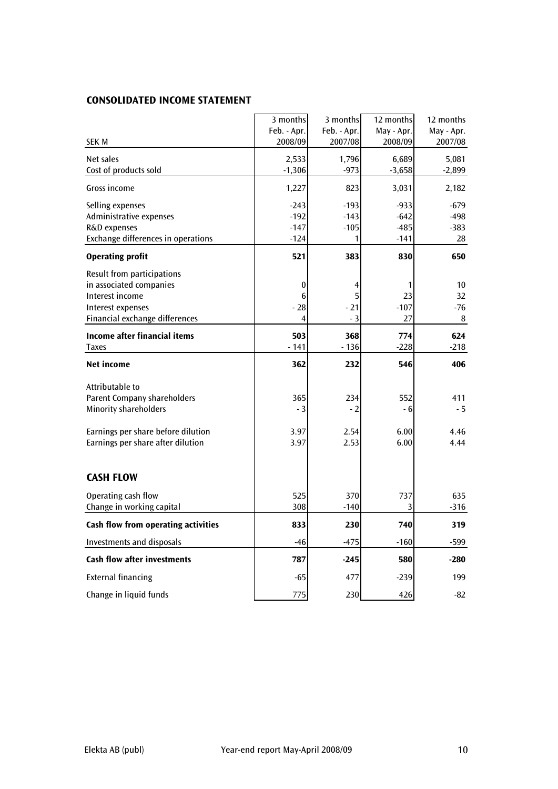# CONSOLIDATED INCOME STATEMENT

|                                     | 3 months         | 3 months    | 12 months  | 12 months  |
|-------------------------------------|------------------|-------------|------------|------------|
|                                     | Feb. - Apr.      | Feb. - Apr. | May - Apr. | May - Apr. |
| <b>SEK M</b>                        | 2008/09          | 2007/08     | 2008/09    | 2007/08    |
| Net sales                           | 2,533            | 1,796       | 6,689      | 5,081      |
| Cost of products sold               | $-1,306$         | $-973$      | $-3,658$   | $-2,899$   |
| Gross income                        | 1,227            | 823         | 3,031      | 2,182      |
| Selling expenses                    | $-243$           | $-193$      | $-933$     | $-679$     |
| Administrative expenses             | $-192$           | $-143$      | $-642$     | $-498$     |
| R&D expenses                        | $-147$           | $-105$      | $-485$     | $-383$     |
| Exchange differences in operations  | $-124$           | 1           | $-141$     | 28         |
| <b>Operating profit</b>             | 521              | 383         | 830        | 650        |
| Result from participations          |                  |             |            |            |
| in associated companies             | $\boldsymbol{0}$ |             | 1          | 10         |
| Interest income                     | 6                | 5           | 23         | 32         |
| Interest expenses                   | - 28             | - 21        | $-107$     | $-76$      |
| Financial exchange differences      | 4                | - 3         | 27         | 8          |
| <b>Income after financial items</b> | 503              | 368         | 774        | 624        |
| <b>Taxes</b>                        | - 141            | $-136$      | $-228$     | -218       |
| <b>Net income</b>                   | 362              | 232         | 546        | 406        |
| Attributable to                     |                  |             |            |            |
| <b>Parent Company shareholders</b>  | 365              | 234         | 552        | 411        |
| <b>Minority shareholders</b>        | $-3$             | - 2         | - 6        | $-5$       |
| Earnings per share before dilution  | 3.97             | 2.54        | 6.00       | 4.46       |
| Earnings per share after dilution   | 3.97             | 2.53        | 6.00       | 4.44       |
|                                     |                  |             |            |            |
| <b>CASH FLOW</b>                    |                  |             |            |            |
| Operating cash flow                 | 525              | 370         | 737        | 635        |
| Change in working capital           | 308              | $-140$      | 3          | $-316$     |
| Cash flow from operating activities | 833              | 230         | 740        | 319        |
| <b>Investments and disposals</b>    | $-46$            | $-475$      | $-160$     | $-599$     |
| <b>Cash flow after investments</b>  | 787              | $-245$      | 580        | $-280$     |
| <b>External financing</b>           | $-65$            | 477         | $-239$     | 199        |
| Change in liquid funds              | 775              | 230         | 426        | $-82$      |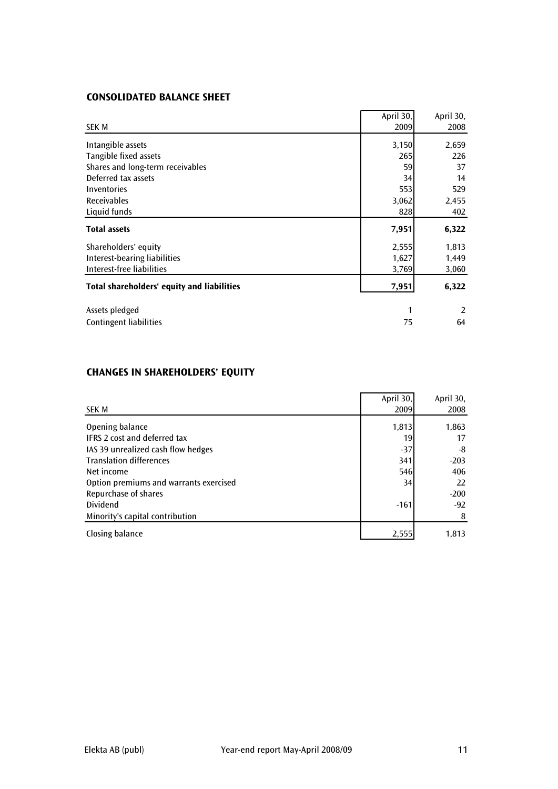# CONSOLIDATED BALANCE SHEET

|                                            | April 30, | April 30, |
|--------------------------------------------|-----------|-----------|
| SEK M                                      | 2009      | 2008      |
| Intangible assets                          | 3,150     | 2,659     |
| Tangible fixed assets                      | 265       | 226       |
| Shares and long-term receivables           | 59        | 37        |
| Deferred tax assets                        | 34        | 14        |
| <b>Inventories</b>                         | 553       | 529       |
| <b>Receivables</b>                         | 3,062     | 2,455     |
| Liquid funds                               | 828       | 402       |
| <b>Total assets</b>                        | 7,951     | 6,322     |
| Shareholders' equity                       | 2,555     | 1,813     |
| Interest-bearing liabilities               | 1,627     | 1,449     |
| Interest-free liabilities                  | 3,769     | 3,060     |
| Total shareholders' equity and liabilities | 7,951     | 6,322     |
|                                            |           |           |
| Assets pledged                             | 1         | 2         |
| Contingent liabilities                     | 75        | 64        |

# CHANGES IN SHAREHOLDERS' EQUITY

|                                        | April 30, | April 30, |
|----------------------------------------|-----------|-----------|
| <b>SEK M</b>                           | 2009      | 2008      |
| Opening balance                        | 1,813     | 1,863     |
| <b>IFRS 2 cost and deferred tax</b>    | 19        | 17        |
| IAS 39 unrealized cash flow hedges     | $-37$     | -8        |
| <b>Translation differences</b>         | 341       | $-203$    |
| Net income                             | 546       | 406       |
| Option premiums and warrants exercised | 34        | 22        |
| Repurchase of shares                   |           | $-200$    |
| Dividend                               | $-161$    | $-92$     |
| Minority's capital contribution        |           | 8         |
| Closing balance                        | 2,555     | 1,813     |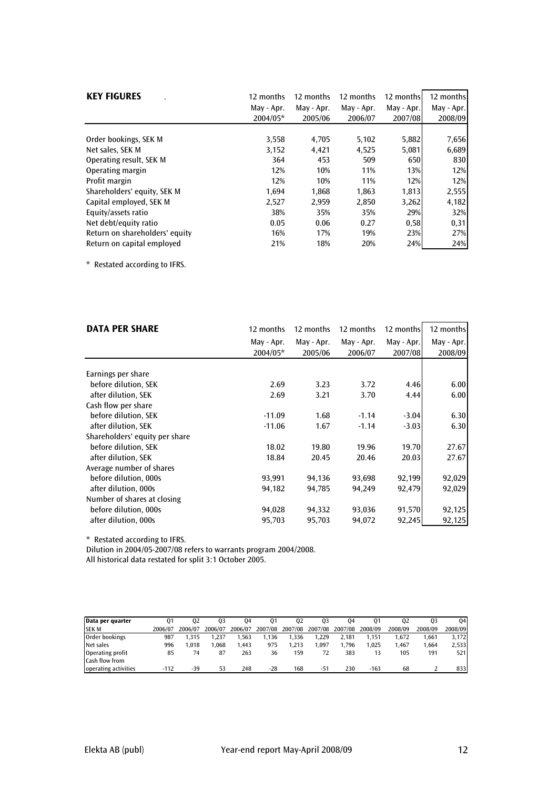| <b>KEY FIGURES</b>             | 12 months<br>May - Apr.<br>2004/05* | 12 months<br>May - Apr.<br>2005/06 | 12 months<br>May - Apr.<br>2006/07 | 12 months<br>May - Apr.<br>2007/08 | 12 months<br>May - Apr.<br>2008/09 |
|--------------------------------|-------------------------------------|------------------------------------|------------------------------------|------------------------------------|------------------------------------|
|                                |                                     |                                    |                                    |                                    |                                    |
| Order bookings, SEK M          | 3,558                               | 4,705                              | 5,102                              | 5,882                              | 7,656                              |
| Net sales. SEK M               | 3,152                               | 4,421                              | 4,525                              | 5,081                              | 6,689                              |
| Operating result, SEK M        | 364                                 | 453                                | 509                                | 650                                | 830                                |
| Operating margin               | 12%                                 | 10%                                | 11%                                | 13%                                | 12%                                |
| Profit margin                  | 12%                                 | 10%                                | 11%                                | 12%                                | 12%                                |
| Shareholders' equity, SEK M    | 1.694                               | 1,868                              | 1,863                              | 1,813                              | 2,555                              |
| Capital employed, SEK M        | 2,527                               | 2.959                              | 2,850                              | 3,262                              | 4,182                              |
| Equity/assets ratio            | 38%                                 | 35%                                | 35%                                | 29%                                | 32%                                |
| Net debt/equity ratio          | 0.05                                | 0.06                               | 0.27                               | 0,58                               | 0,31                               |
| Return on shareholders' equity | 16%                                 | 17%                                | 19%                                | 23%                                | 27%                                |
| Return on capital employed     | 21%                                 | 18%                                | 20%                                | 24%                                | 24%                                |

\* Restated according to IFRS.

| <b>DATA PER SHARE</b>          | 12 months  | 12 months  | 12 months  | 12 months  | 12 months  |
|--------------------------------|------------|------------|------------|------------|------------|
|                                | May - Apr. | May - Apr. | May - Apr. | May - Apr. | May - Apr. |
|                                | 2004/05*   | 2005/06    | 2006/07    | 2007/08    | 2008/09    |
|                                |            |            |            |            |            |
| Earnings per share             |            |            |            |            |            |
| before dilution, SEK           | 2.69       | 3.23       | 3.72       | 4.46       | 6.00       |
| after dilution, SEK            | 2.69       | 3.21       | 3.70       | 4.44       | 6.00       |
| Cash flow per share            |            |            |            |            |            |
| before dilution, SEK           | $-11.09$   | 1.68       | $-1.14$    | $-3.04$    | 6.30       |
| after dilution, SEK            | $-11.06$   | 1.67       | $-1.14$    | $-3.03$    | 6.30       |
| Shareholders' equity per share |            |            |            |            |            |
| before dilution. SEK           | 18.02      | 19.80      | 19.96      | 19.70      | 27.67      |
| after dilution, SEK            | 18.84      | 20.45      | 20.46      | 20.03      | 27.67      |
| Average number of shares       |            |            |            |            |            |
| before dilution, 000s          | 93,991     | 94,136     | 93,698     | 92,199     | 92,029     |
| after dilution, 000s           | 94,182     | 94,785     | 94,249     | 92,479     | 92,029     |
| Number of shares at closing    |            |            |            |            |            |
| before dilution, 000s          | 94,028     | 94,332     | 93,036     | 91,570     | 92,125     |
| after dilution, 000s           | 95,703     | 95,703     | 94,072     | 92,245     | 92,125     |

\* Restated according to IFRS.

Dilution in 2004/05-2007/08 refers to warrants program 2004/2008.

All historical data restated for split 3:1 October 2005.

| Data per quarter     | 0 <sup>1</sup> | 02      | 03      | 04      | 01      | 02      | 03      | 04      |         | 02      | 03      | 04      |
|----------------------|----------------|---------|---------|---------|---------|---------|---------|---------|---------|---------|---------|---------|
| <b>SEK M</b>         | 2006/07        | 2006/07 | 2006/07 | 2006/07 | 2007/08 | 2007/08 | 2007/08 | 2007/08 | 2008/09 | 2008/09 | 2008/09 | 2008/09 |
| Order bookings       | 987            | .315    | . 237   | .563    | .136    | .336    | 1.229   | 2.181   | 1.151   | .672    | .661    | 3.172   |
| Net sales            | 996            | .018    | .068    | 1.443   | 975     | .213    | .097    | .796    | 1.025   | 1.467   | .664    | 2,533   |
| Operating profit     | 85             | 74      | 87      | 263     | 36      | 159     |         | 383     |         | 105     | 191     | 521     |
| Cash flow from       |                |         |         |         |         |         |         |         |         |         |         |         |
| operating activities | -112           | -39     | 53      | 248     | -28     | 168     | $-51$   | 230     | $-163$  | 68      |         | 833     |